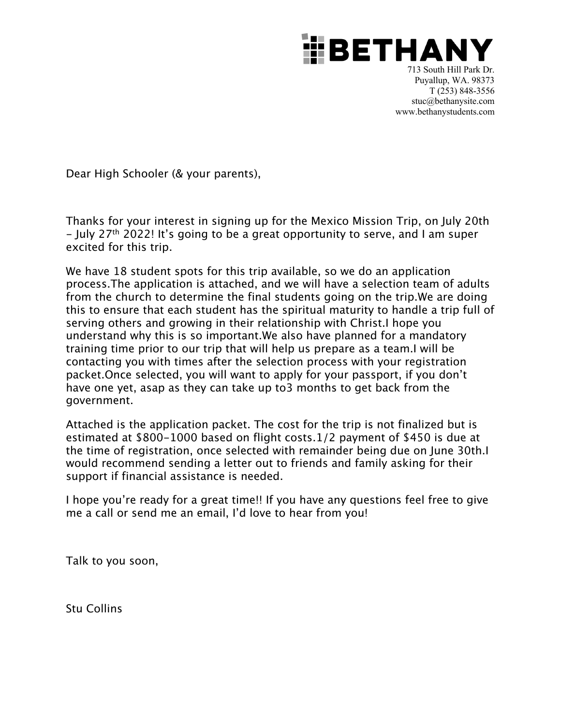

713 South Hill Park Dr. Puyallup, WA. 98373 T (253) 848-3556 stuc@bethanysite.com www.bethanystudents.com

Dear High Schooler (& your parents),

Thanks for your interest in signing up for the Mexico Mission Trip, on July 20th - July 27th 2022! It's going to be a great opportunity to serve, and I am super excited for this trip.

We have 18 student spots for this trip available, so we do an application process. The application is attached, and we will have a selection team of adults from the church to determine the final students going on the trip. We are doing this to ensure that each student has the spiritual maturity to handle a trip full of serving others and growing in their relationship with Christ. I hope you understand why this is so important. We also have planned for a mandatory training time prior to our trip that will help us prepare as a team. I will be contacting you with times after the selection process with your registration packet.Once selected, you will want to apply for your passport, if you don't have one yet, asap as they can take up to 3 months to get back from the government.

Attached is the application packet. The cost for the trip is not finalized but is estimated at \$800-1000 based on flight costs.1/2 payment of \$450 is due at the time of registration, once selected with remainder being due on June 30th. I would recommend sending a letter out to friends and family asking for their support if financial assistance is needed.

I hope you're ready for a great time!! If you have any questions feel free to give me a call or send me an email, I'd love to hear from you!

Talk to you soon,

Stu Collins